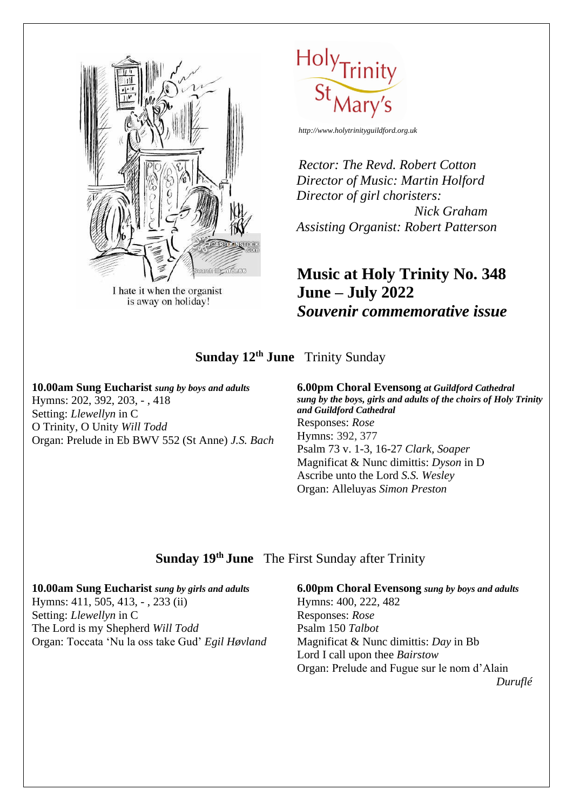

I hate it when the organist is away on holiday!



*Rector: The Revd. Robert Cotton Director of Music: Martin Holford Director of girl choristers: Nick Graham Assisting Organist: Robert Patterson*

# **Music at Holy Trinity No. 348 June – July 2022** *Souvenir commemorative issue*

## **Sunday 12th June** Trinity Sunday

### **10.00am Sung Eucharist** *sung by boys and adults* Hymns: 202, 392, 203, - , 418 Setting: *Llewellyn* in C

O Trinity, O Unity *Will Todd* Organ: Prelude in Eb BWV 552 (St Anne) *J.S. Bach* **6.00pm Choral Evensong** *at Guildford Cathedral sung by the boys, girls and adults of the choirs of Holy Trinity and Guildford Cathedral*  Responses: *Rose* Hymns: 392, 377 Psalm 73 v. 1-3, 16-27 *Clark, Soaper* Magnificat & Nunc dimittis: *Dyson* in D Ascribe unto the Lord *S.S. Wesley* Organ: Alleluyas *Simon Preston*

## **Sunday 19 th June** The First Sunday after Trinity

#### **10.00am Sung Eucharist** *sung by girls and adults*

Hymns: 411, 505, 413, - , 233 (ii) Setting: *Llewellyn* in C The Lord is my Shepherd *Will Todd* Organ: Toccata 'Nu la oss take Gud' *Egil Høvland* **6.00pm Choral Evensong** *sung by boys and adults* Hymns: 400, 222, 482 Responses: *Rose* Psalm 150 *Talbot* Magnificat & Nunc dimittis: *Day* in Bb Lord I call upon thee *Bairstow* Organ: Prelude and Fugue sur le nom d'Alain

 *Duruflé*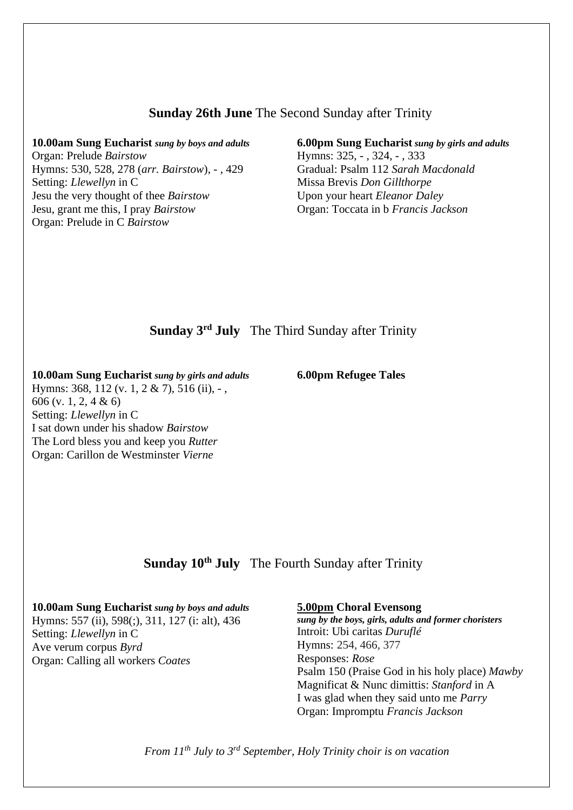#### **Sunday 26th June** The Second Sunday after Trinity

#### **10.00am Sung Eucharist** *sung by boys and adults*

Organ: Prelude *Bairstow* Hymns: 530, 528, 278 (*arr. Bairstow*), - , 429 Setting: *Llewellyn* in C Jesu the very thought of thee *Bairstow* Jesu, grant me this, I pray *Bairstow* Organ: Prelude in C *Bairstow*

#### **6.00pm Sung Eucharist** *sung by girls and adults* Hymns: 325, - , 324, - , 333 Gradual: Psalm 112 *Sarah Macdonald* Missa Brevis *Don Gillthorpe* Upon your heart *Eleanor Daley* Organ: Toccata in b *Francis Jackson*

# **Sunday 3 rd July** The Third Sunday after Trinity

**10.00am Sung Eucharist** *sung by girls and adults* Hymns: 368, 112 (v. 1, 2 & 7), 516 (ii), -, 606 (v. 1, 2, 4 & 6) Setting: *Llewellyn* in C I sat down under his shadow *Bairstow* The Lord bless you and keep you *Rutter* Organ: Carillon de Westminster *Vierne*

**6.00pm Refugee Tales**

### **Sunday 10th July** The Fourth Sunday after Trinity

## **10.00am Sung Eucharist** *sung by boys and adults*

Hymns: 557 (ii), 598(;), 311, 127 (i: alt), 436 Setting: *Llewellyn* in C Ave verum corpus *Byrd* Organ: Calling all workers *Coates*

#### **5.00pm Choral Evensong**

*sung by the boys, girls, adults and former choristers* Introit: Ubi caritas *Duruflé* Hymns: 254, 466, 377 Responses: *Rose* Psalm 150 (Praise God in his holy place) *Mawby* Magnificat & Nunc dimittis: *Stanford* in A I was glad when they said unto me *Parry* Organ: Impromptu *Francis Jackson*

*From 11th July to 3rd September, Holy Trinity choir is on vacation*